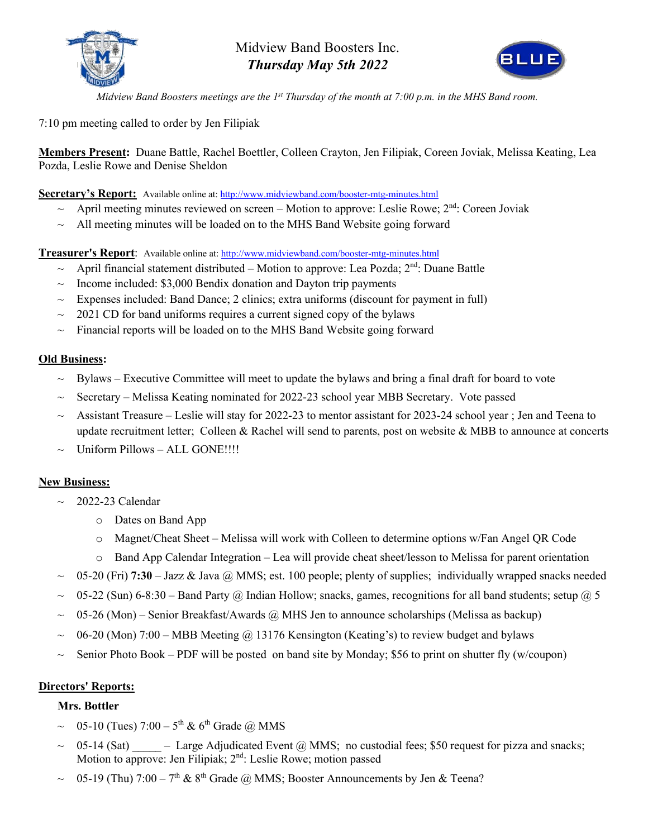

Midview Band Boosters Inc. *Thursday May 5th 2022*



*Midview Band Boosters meetings are the 1st Thursday of the month at 7:00 p.m. in the MHS Band room.*

7:10 pm meeting called to order by Jen Filipiak

**Members Present:** Duane Battle, Rachel Boettler, Colleen Crayton, Jen Filipiak, Coreen Joviak, Melissa Keating, Lea Pozda, Leslie Rowe and Denise Sheldon

**Secretary's Report:** Available online at: http://www.midviewband.com/booster-mtg-minutes.html

- $\sim$  April meeting minutes reviewed on screen Motion to approve: Leslie Rowe;  $2<sup>nd</sup>$ : Coreen Joviak
- $\sim$  All meeting minutes will be loaded on to the MHS Band Website going forward

**Treasurer's Report**: Available online at: http://www.midviewband.com/booster-mtg-minutes.html

- $\sim$  April financial statement distributed Motion to approve: Lea Pozda;  $2^{nd}$ : Duane Battle
- Income included: \$3,000 Bendix donation and Dayton trip payments
- ~ Expenses included: Band Dance; 2 clinics; extra uniforms (discount for payment in full)
- ~ 2021 CD for band uniforms requires a current signed copy of the bylaws
- $\sim$  Financial reports will be loaded on to the MHS Band Website going forward

### **Old Business:**

- ~ Bylaws Executive Committee will meet to update the bylaws and bring a final draft for board to vote
- ~ Secretary Melissa Keating nominated for 2022-23 school year MBB Secretary. Vote passed
- ~ Assistant Treasure Leslie will stay for 2022-23 to mentor assistant for 2023-24 school year ; Jen and Teena to update recruitment letter; Colleen & Rachel will send to parents, post on website & MBB to announce at concerts
- Uniform Pillows ALL GONE!!!!

# **New Business:**

- $\sim$  2022-23 Calendar
	- o Dates on Band App
	- o Magnet/Cheat Sheet Melissa will work with Colleen to determine options w/Fan Angel QR Code
	- o Band App Calendar Integration Lea will provide cheat sheet/lesson to Melissa for parent orientation
- ~ 05-20 (Fri) **7:30** Jazz & Java @ MMS; est. 100 people; plenty of supplies; individually wrapped snacks needed
- 05-22 (Sun) 6-8:30 Band Party @ Indian Hollow; snacks, games, recognitions for all band students; setup @ 5
- $\sim$  05-26 (Mon) Senior Breakfast/Awards @ MHS Jen to announce scholarships (Melissa as backup)
- $06-20$  (Mon)  $7:00 \text{MBB Meeting}$  ( $a)$  13176 Kensington (Keating's) to review budget and bylaws
- Senior Photo Book PDF will be posted on band site by Monday; \$56 to print on shutter fly (w/coupon)

# **Directors' Reports:**

### **Mrs. Bottler**

- 05-10 (Tues)  $7:00 5$ <sup>th</sup> & 6<sup>th</sup> Grade @ MMS
- $05-14$  (Sat)  $-$  Large Adjudicated Event @ MMS; no custodial fees; \$50 request for pizza and snacks; Motion to approve: Jen Filipiak; 2<sup>nd</sup>: Leslie Rowe; motion passed
- 05-19 (Thu)  $7:00 7<sup>th</sup>$  & 8<sup>th</sup> Grade @ MMS; Booster Announcements by Jen & Teena?